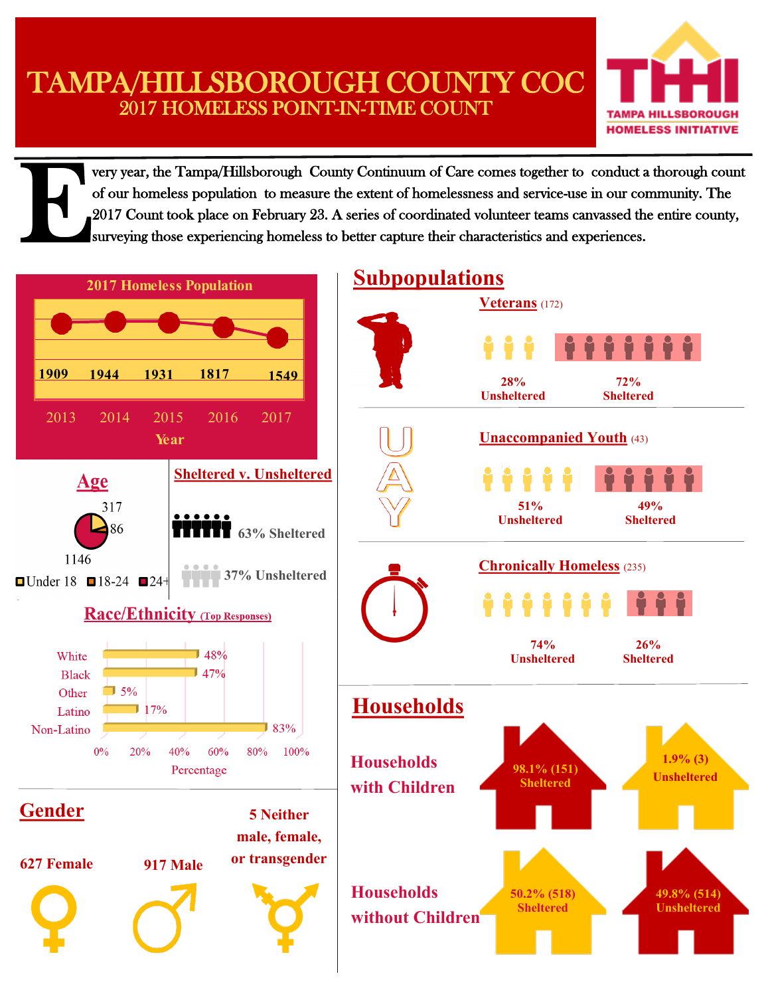# TAMPA/HILLSBOROUGH COUNTY COC 2017 HOMELESS POINT-IN-TIME COUNT



Very of our property of the survey very year, the Tampa/Hillsborough County Continuum of Care comes together to conduct a thorough count of our homeless population to measure the extent of homelessness and service-use in our community. The 2017 Count took place on February 23. A series of coordinated volunteer teams canvassed the entire county, surveying those experiencing homeless to better capture their characteristics and experiences.

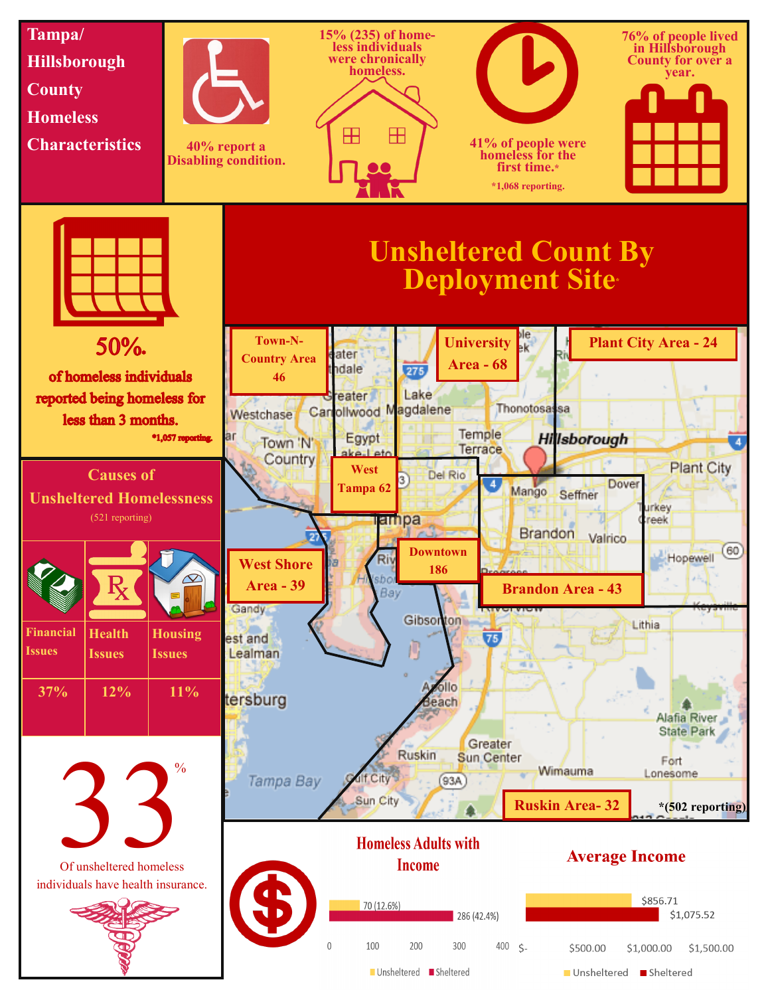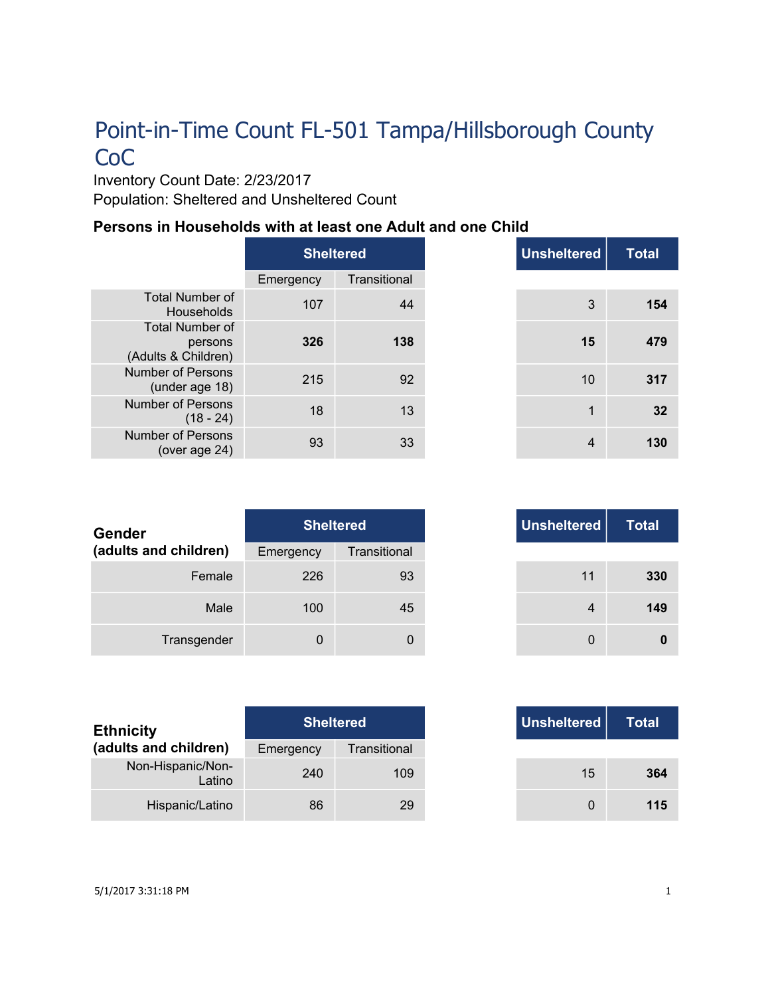Inventory Count Date: 2/23/2017 Population: Sheltered and Unsheltered Count

### **Persons in Households with at least one Adult and one Child**

|                                                          | <b>Sheltered</b> |              |
|----------------------------------------------------------|------------------|--------------|
|                                                          | Emergency        | Transitional |
| <b>Total Number of</b><br>Households                     | 107              | 44           |
| <b>Total Number of</b><br>persons<br>(Adults & Children) | 326              | 138          |
| <b>Number of Persons</b><br>(under age 18)               | 215              | 92           |
| <b>Number of Persons</b><br>$(18 - 24)$                  | 18               | 13           |
| <b>Number of Persons</b><br>(over age 24)                | 93               | 33           |

|     | <b>Sheltered</b> |
|-----|------------------|
| ncy | Transitional     |
| 107 | 44               |
| 326 | 138              |
| 215 | 92               |
| 18  | 13               |
| 93  | 33               |

| <b>Gender</b>         |           | <b>Sheltered</b> | Unsheltered    |
|-----------------------|-----------|------------------|----------------|
| (adults and children) | Emergency | Transitional     |                |
| Female                | 226       | 93               |                |
| Male                  | 100       | 45               | $\overline{4}$ |
| Transgender           | 0         | 0                | 0              |

| <b>Ethnicity</b>            |           | <b>Sheltered</b> | Unsheltered |
|-----------------------------|-----------|------------------|-------------|
| (adults and children)       | Emergency | Transitional     |             |
| Non-Hispanic/Non-<br>Latino | 240       | 109              | 15          |
| Hispanic/Latino             | 86        | 29               |             |

| <b>Sheltered</b><br><b>Unsheltered</b> |  |
|----------------------------------------|--|
| Transitional                           |  |
| 93                                     |  |
| 45                                     |  |
| 0                                      |  |

|     | <b>Sheltered</b> |
|-----|------------------|
| ncy | Transitional     |
| 240 | 109              |
| 86  | 29               |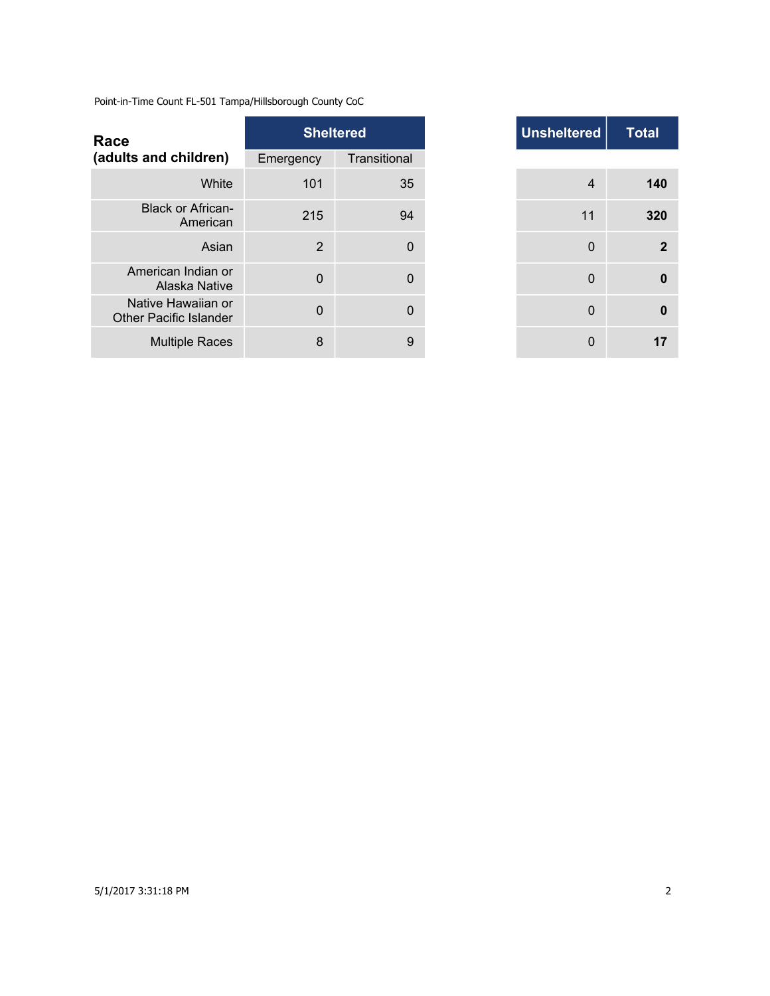| Race                                                |             | <b>Sheltered</b> |
|-----------------------------------------------------|-------------|------------------|
| (adults and children)                               | Emergency   | Transitional     |
| White                                               | 101         | 35               |
| <b>Black or African-</b><br>American                | 215         | 94               |
| Asian                                               | 2           | 0                |
| American Indian or<br>Alaska Native                 | $\Omega$    | 0                |
| Native Hawaiian or<br><b>Other Pacific Islander</b> | $\mathbf 0$ | 0                |
| <b>Multiple Races</b>                               | 8           | 9                |

| <b>Total</b> | <b>Unsheltered</b> |             | <b>Sheltered</b> |                |
|--------------|--------------------|-------------|------------------|----------------|
|              |                    |             | Transitional     |                |
|              | $\overline{4}$     | 35          |                  |                |
|              | 11                 | 94          |                  | 215            |
|              | 0                  | 0           |                  | $\overline{2}$ |
|              | 0                  | 0           |                  | $\overline{0}$ |
|              | $\mathbf 0$        | $\mathbf 0$ |                  | $\overline{0}$ |
|              | 0                  | 9           |                  | 8              |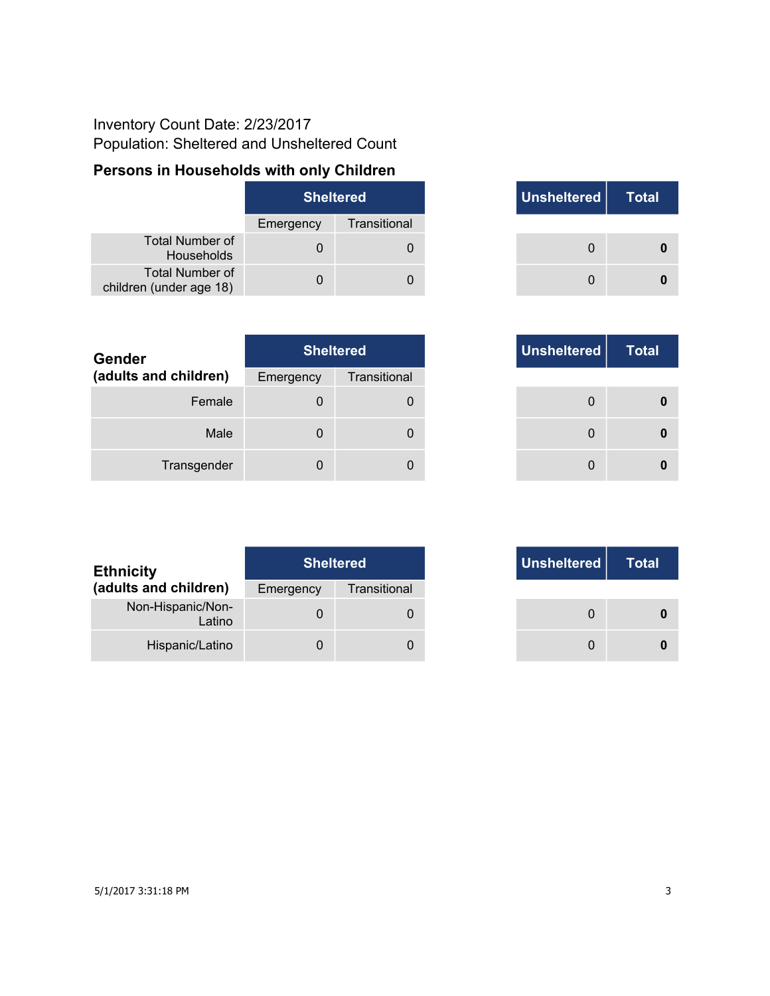# **Persons in Households with only Children**

|                                                   | Sheltered |              |
|---------------------------------------------------|-----------|--------------|
|                                                   | Emergency | Transitional |
| <b>Total Number of</b><br>Households              |           |              |
| <b>Total Number of</b><br>children (under age 18) |           |              |

| <b>Gender</b>         |           | <b>Sheltered</b> | Unsheltered |
|-----------------------|-----------|------------------|-------------|
| (adults and children) | Emergency | Transitional     |             |
| Female                | 0         |                  | 0           |
| Male                  | 0         | 0                | 0           |
| Transgender           |           |                  | 0           |

|     | <b>Sheltered</b> |
|-----|------------------|
| ιсγ | Transitional     |
| 0   |                  |
|     |                  |

|             | <b>Sheltered</b> | Unsheltered | Total |
|-------------|------------------|-------------|-------|
| าcy         | Transitional     |             |       |
| $\mathbf 0$ | 0                | 0           |       |
| $\mathbf 0$ | 0                | 0           |       |
| O           | $\Gamma$         |             |       |

|     | <b>Sheltered</b> |
|-----|------------------|
| ٦CV | Transitional     |
| 0   |                  |
|     |                  |

| <b>Ethnicity</b>            |           | <b>Sheltered</b> |
|-----------------------------|-----------|------------------|
| (adults and children)       | Emergency | Transitional     |
| Non-Hispanic/Non-<br>Latino | 0         |                  |
| Hispanic/Latino             | 0         |                  |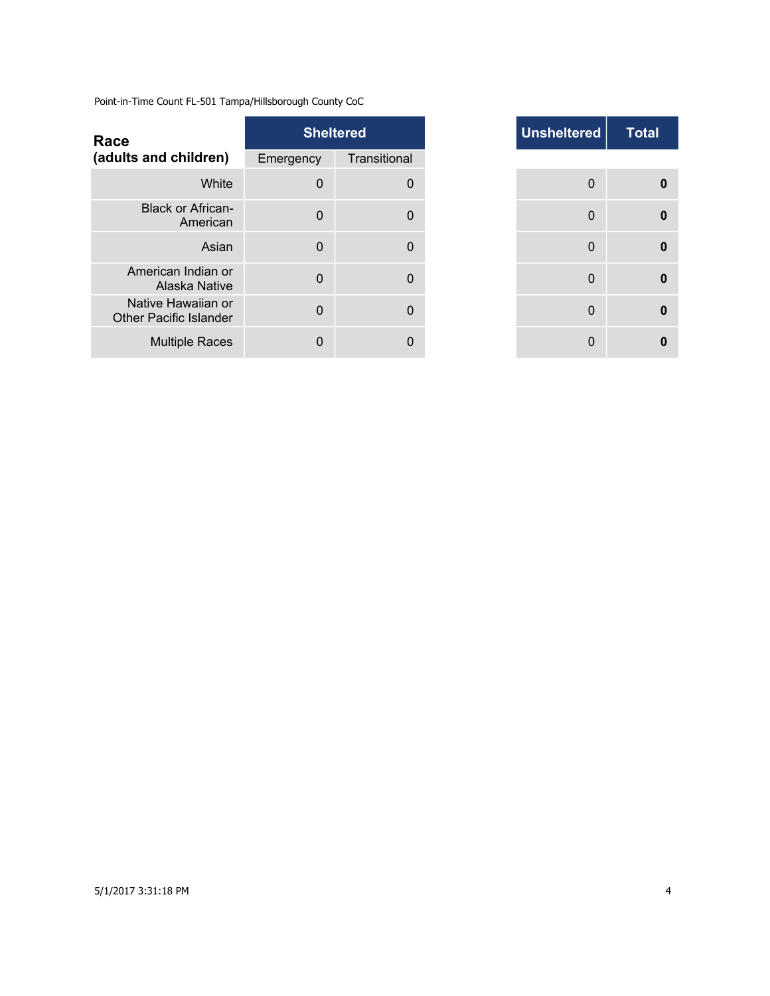| Race                                                |             | <b>Sheltered</b> |
|-----------------------------------------------------|-------------|------------------|
| (adults and children)                               | Emergency   | Transitional     |
| White                                               | $\mathbf 0$ | $\mathbf 0$      |
| <b>Black or African-</b><br>American                | $\mathbf 0$ | $\Omega$         |
| Asian                                               | $\mathbf 0$ | $\Omega$         |
| American Indian or<br>Alaska Native                 | $\mathbf 0$ | $\Omega$         |
| Native Hawaiian or<br><b>Other Pacific Islander</b> | $\mathbf 0$ | 0                |
| <b>Multiple Races</b>                               | $\Omega$    | 0                |

|             | <b>Sheltered</b> |
|-------------|------------------|
| าcy         | Transitional     |
| $\mathbf 0$ | $\mathbf 0$      |
| $\Omega$    | $\Omega$         |
| $\Omega$    | $\Omega$         |
| $\Omega$    | $\Omega$         |
| $\Omega$    | $\Omega$         |
| O           | 0                |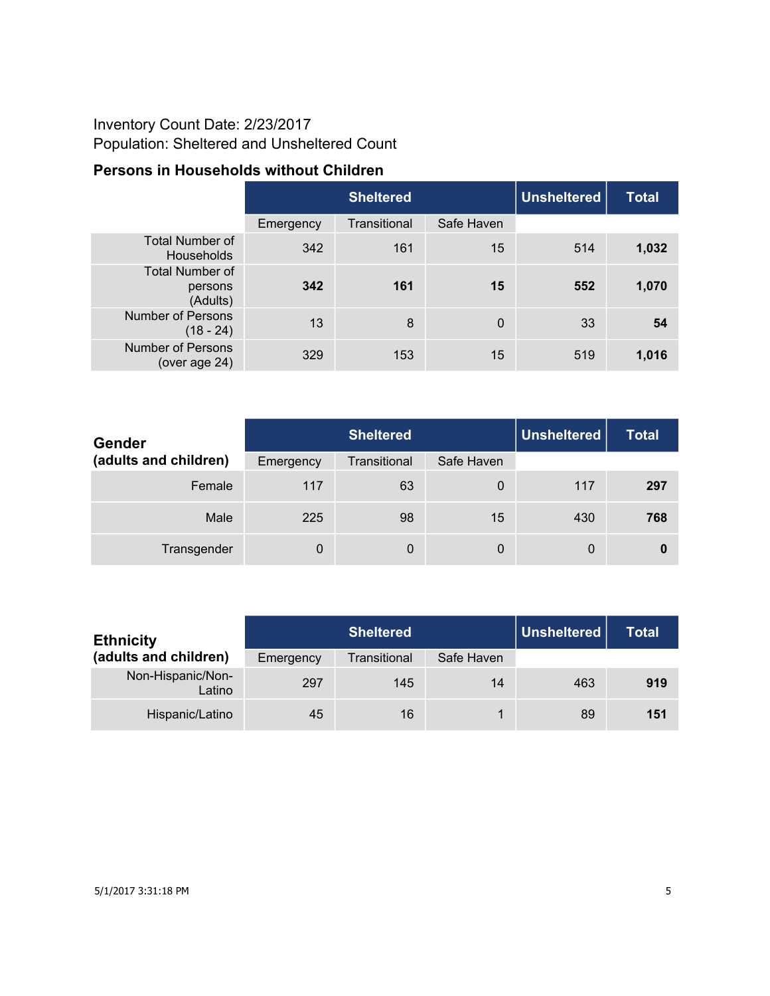### **Persons in Households without Children**

|                                               | <b>Sheltered</b> |              |            | <b>Unsheltered</b> | <b>Total</b> |
|-----------------------------------------------|------------------|--------------|------------|--------------------|--------------|
|                                               | Emergency        | Transitional | Safe Haven |                    |              |
| <b>Total Number of</b><br><b>Households</b>   | 342              | 161          | 15         | 514                | 1,032        |
| <b>Total Number of</b><br>persons<br>(Adults) | 342              | 161          | 15         | 552                | 1,070        |
| <b>Number of Persons</b><br>$(18 - 24)$       | 13               | 8            | $\Omega$   | 33                 | 54           |
| <b>Number of Persons</b><br>(over age 24)     | 329              | 153          | 15         | 519                | 1,016        |

| Gender                |           | <b>Sheltered</b> |            | Unsheltered | <b>Total</b> |
|-----------------------|-----------|------------------|------------|-------------|--------------|
| (adults and children) | Emergency | Transitional     | Safe Haven |             |              |
| Female                | 117       | 63               | 0          | 117         | 297          |
| Male                  | 225       | 98               | 15         | 430         | 768          |
| Transgender           | 0         | 0                | 0          | 0           | 0            |

| <b>Ethnicity</b>            | <b>Sheltered</b> |              |            | Unsheltered | Total |
|-----------------------------|------------------|--------------|------------|-------------|-------|
| (adults and children)       | Emergency        | Transitional | Safe Haven |             |       |
| Non-Hispanic/Non-<br>Latino | 297              | 145          | 14         | 463         | 919   |
| Hispanic/Latino             | 45               | 16           |            | 89          | 151   |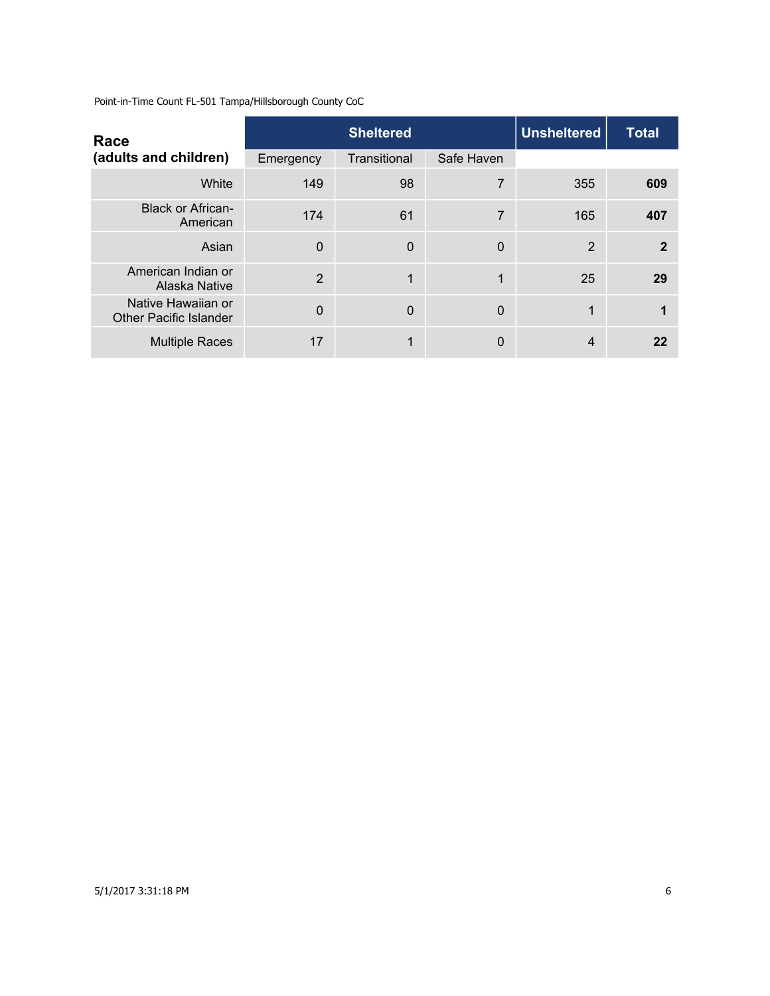| Race                                                |           | <b>Sheltered</b> |            | Unsheltered    | <b>Total</b> |
|-----------------------------------------------------|-----------|------------------|------------|----------------|--------------|
| (adults and children)                               | Emergency | Transitional     | Safe Haven |                |              |
| White                                               | 149       | 98               | 7          | 355            | 609          |
| <b>Black or African-</b><br>American                | 174       | 61               | 7          | 165            | 407          |
| Asian                                               | $\Omega$  | $\Omega$         | 0          | $\overline{2}$ | $\mathbf{2}$ |
| American Indian or<br>Alaska Native                 | 2         | 1                | 1          | 25             | 29           |
| Native Hawaiian or<br><b>Other Pacific Islander</b> | 0         | $\Omega$         | 0          | 1              |              |
| <b>Multiple Races</b>                               | 17        |                  | 0          | 4              | 22           |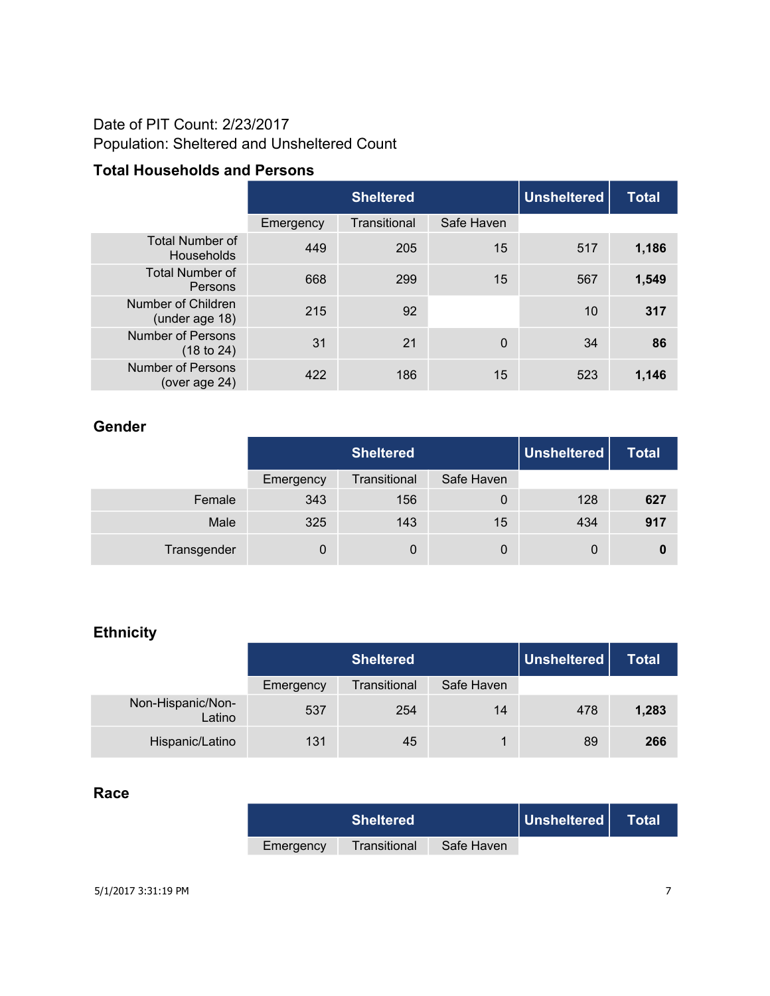## Date of PIT Count: 2/23/2017 Population: Sheltered and Unsheltered Count

### **Total Households and Persons**

|                                           | <b>Sheltered</b> |              |            | <b>Unsheltered</b> | <b>Total</b> |
|-------------------------------------------|------------------|--------------|------------|--------------------|--------------|
|                                           | Emergency        | Transitional | Safe Haven |                    |              |
| <b>Total Number of</b><br>Households      | 449              | 205          | 15         | 517                | 1,186        |
| <b>Total Number of</b><br>Persons         | 668              | 299          | 15         | 567                | 1,549        |
| Number of Children<br>(under age 18)      | 215              | 92           |            | 10                 | 317          |
| <b>Number of Persons</b><br>(18 to 24)    | 31               | 21           | 0          | 34                 | 86           |
| <b>Number of Persons</b><br>(over age 24) | 422              | 186          | 15         | 523                | 1,146        |

#### **Gender**

|             |           | <b>Sheltered</b> |            | Unsheltered | <b>Total</b> |
|-------------|-----------|------------------|------------|-------------|--------------|
|             | Emergency | Transitional     | Safe Haven |             |              |
| Female      | 343       | 156              | 0          | 128         | 627          |
| Male        | 325       | 143              | 15         | 434         | 917          |
| Transgender | 0         | 0                | 0          | 0           | 0            |

# **Ethnicity**

|                             | <b>Sheltered</b> |              |            | Unsheltered | Total <sup>'</sup> |
|-----------------------------|------------------|--------------|------------|-------------|--------------------|
|                             | Emergency        | Transitional | Safe Haven |             |                    |
| Non-Hispanic/Non-<br>Latino | 537              | 254          | 14         | 478         | 1,283              |
| Hispanic/Latino             | 131              | 45           |            | 89          | 266                |

### **Race**

|           | <b>Sheltered</b> |            |  | Unsheltered<br>N Total! |
|-----------|------------------|------------|--|-------------------------|
| Emergency | Transitional     | Safe Haven |  |                         |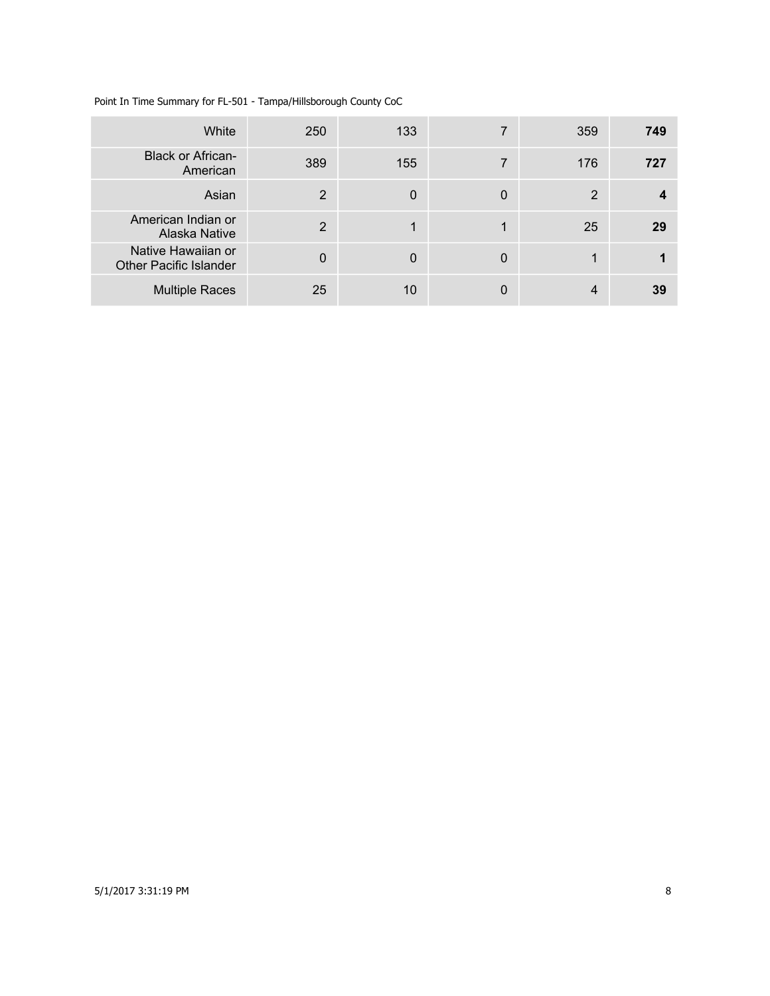| Point In Time Summary for FL-501 - Tampa/Hillsborough County CoC |  |
|------------------------------------------------------------------|--|
|------------------------------------------------------------------|--|

| White                                               | 250            | 133      | 7        | 359            | 749 |
|-----------------------------------------------------|----------------|----------|----------|----------------|-----|
| <b>Black or African-</b><br>American                | 389            | 155      |          | 176            | 727 |
| Asian                                               | $\overline{2}$ | 0        | $\Omega$ | $\overline{2}$ |     |
| American Indian or<br>Alaska Native                 | $\overline{2}$ |          | 1        | 25             | 29  |
| Native Hawaiian or<br><b>Other Pacific Islander</b> | $\mathbf{0}$   | $\Omega$ | $\Omega$ |                |     |
| <b>Multiple Races</b>                               | 25             | 10       | 0        | 4              | 39  |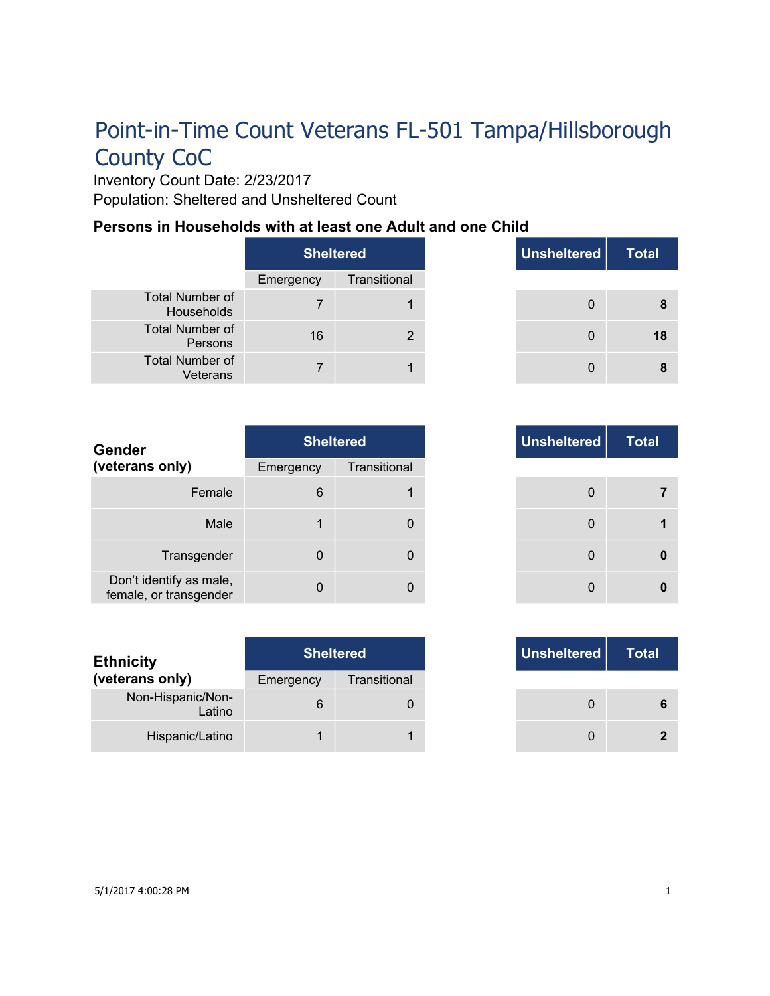Inventory Count Date: 2/23/2017 Population: Sheltered and Unsheltered Count

### **Persons in Households with at least one Adult and one Child**

|                                      |           | <b>Sheltered</b> |
|--------------------------------------|-----------|------------------|
|                                      | Emergency | Transitional     |
| <b>Total Number of</b><br>Households |           |                  |
| <b>Total Number of</b><br>Persons    | 16        |                  |
| <b>Total Number of</b><br>Veterans   |           |                  |

| <b>Total</b> | Unsheltered | <b>Sheltered</b> |     |
|--------------|-------------|------------------|-----|
|              |             | Transitional     | ٦cγ |
| 8            | 0           |                  |     |
| 18           | $\Omega$    | 2                | 16  |
|              |             |                  |     |

| <b>Gender</b>                                     |           | <b>Sheltered</b> |
|---------------------------------------------------|-----------|------------------|
| (veterans only)                                   | Emergency | Transitional     |
| Female                                            | 6         |                  |
| Male                                              |           | 0                |
| Transgender                                       | 0         | 0                |
| Don't identify as male,<br>female, or transgender | 0         |                  |

| <b>Ethnicity</b>            |           | <b>Sheltered</b> | Unsheltered |
|-----------------------------|-----------|------------------|-------------|
| (veterans only)             | Emergency | Transitional     |             |
| Non-Hispanic/Non-<br>Latino | 6         |                  |             |
| Hispanic/Latino             |           |                  |             |

|          | <b>Sheltered</b> |
|----------|------------------|
| าcy      | Transitional     |
| 6        | 1                |
| 1        | 0                |
| $\Omega$ | $\Omega$         |
| 0        | 0                |

|     | <b>Sheltered</b> |
|-----|------------------|
| ٦CV | Transitional     |
| 6   |                  |
|     |                  |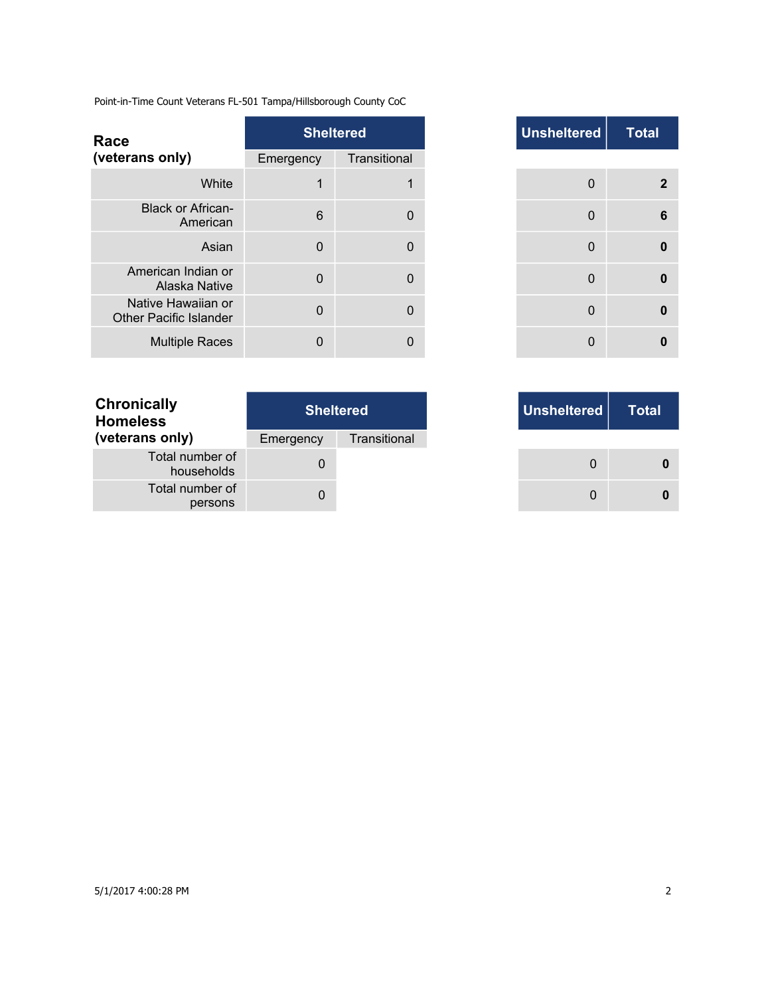| Race                                                |              | <b>Sheltered</b> | <b>Unsheltered</b> |
|-----------------------------------------------------|--------------|------------------|--------------------|
| (veterans only)                                     | Emergency    | Transitional     |                    |
| White                                               |              |                  | $\Omega$           |
| <b>Black or African-</b><br>American                | 6            | 0                | $\mathbf{0}$       |
| Asian                                               | $\mathbf{0}$ | 0                | $\Omega$           |
| American Indian or<br>Alaska Native                 | $\Omega$     | 0                | $\mathbf{0}$       |
| Native Hawaiian or<br><b>Other Pacific Islander</b> | $\Omega$     | 0                | $\mathbf{0}$       |
| <b>Multiple Races</b>                               | $\Omega$     | 0                | $\Omega$           |

| <b>Chronically</b><br><b>Homeless</b> | <b>Sheltered</b> |              |
|---------------------------------------|------------------|--------------|
| (veterans only)                       | Emergency        | Transitional |
| Total number of<br>households         | $\mathbf{I}$     |              |
| Total number of<br>persons            |                  |              |

|                 | <b>Sheltered</b> |
|-----------------|------------------|
| าcy             | Transitional     |
| $\mathbf{1}$    | 1                |
| $6\phantom{1}6$ | $\Omega$         |
| $\overline{0}$  | $\mathbf{0}$     |
| $\Omega$        | $\Omega$         |
| $\Omega$        | $\Omega$         |
| 0               | $\Omega$         |

|     | <b>Sheltered</b> |
|-----|------------------|
| าcy | Transitional     |
|     |                  |
| 0   |                  |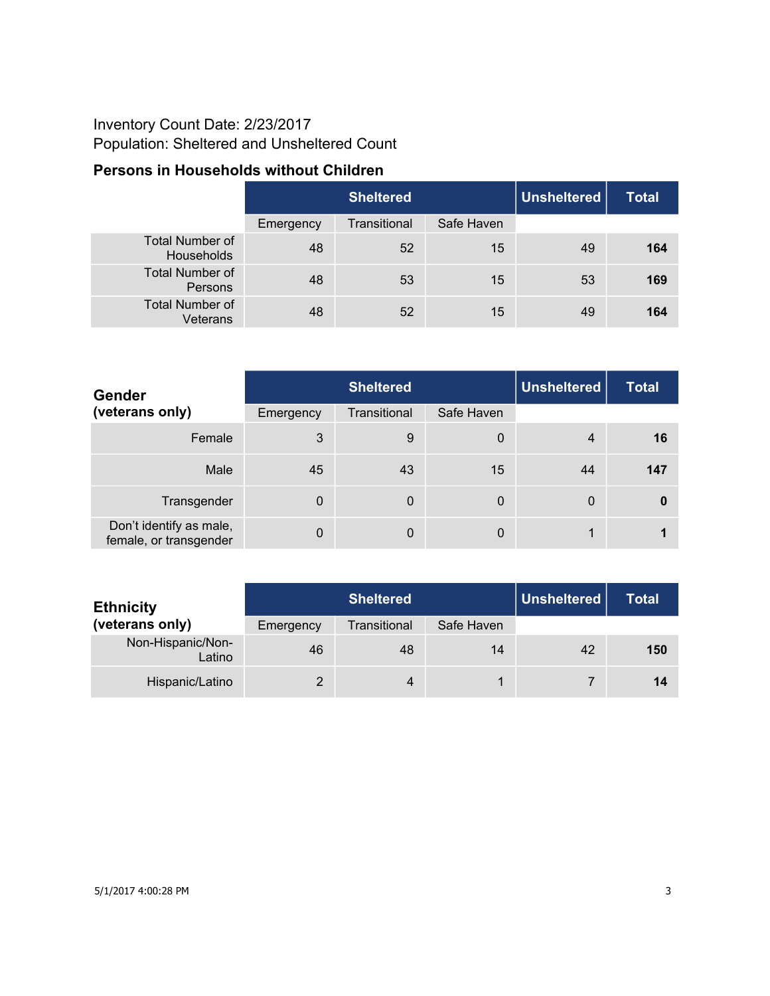### **Persons in Households without Children**

|                                      |           | <b>Sheltered</b> |            |    | <b>Total</b> |
|--------------------------------------|-----------|------------------|------------|----|--------------|
|                                      | Emergency | Transitional     | Safe Haven |    |              |
| <b>Total Number of</b><br>Households | 48        | 52               | 15         | 49 | 164          |
| <b>Total Number of</b><br>Persons    | 48        | 53               | 15         | 53 | 169          |
| <b>Total Number of</b><br>Veterans   | 48        | 52               | 15         | 49 | 164          |

| <b>Gender</b>                                     | <b>Sheltered</b> |              |             | <b>Unsheltered</b> | <b>Total</b> |
|---------------------------------------------------|------------------|--------------|-------------|--------------------|--------------|
| (veterans only)                                   | Emergency        | Transitional | Safe Haven  |                    |              |
| Female                                            | 3                | 9            | $\mathbf 0$ | $\overline{4}$     | 16           |
| Male                                              | 45               | 43           | 15          | 44                 | 147          |
| Transgender                                       | $\mathbf{0}$     | $\mathbf 0$  | $\mathbf 0$ | $\mathbf{0}$       | 0            |
| Don't identify as male,<br>female, or transgender | $\Omega$         | 0            | 0           |                    |              |

| <b>Ethnicity</b>            | <b>Sheltered</b> |              |            | Unsheltered | <b>Total</b> |
|-----------------------------|------------------|--------------|------------|-------------|--------------|
| (veterans only)             | Emergency        | Transitional | Safe Haven |             |              |
| Non-Hispanic/Non-<br>Latino | 46               | 48           | 14         | 42          | 150          |
| Hispanic/Latino             |                  | 4            |            |             | 14           |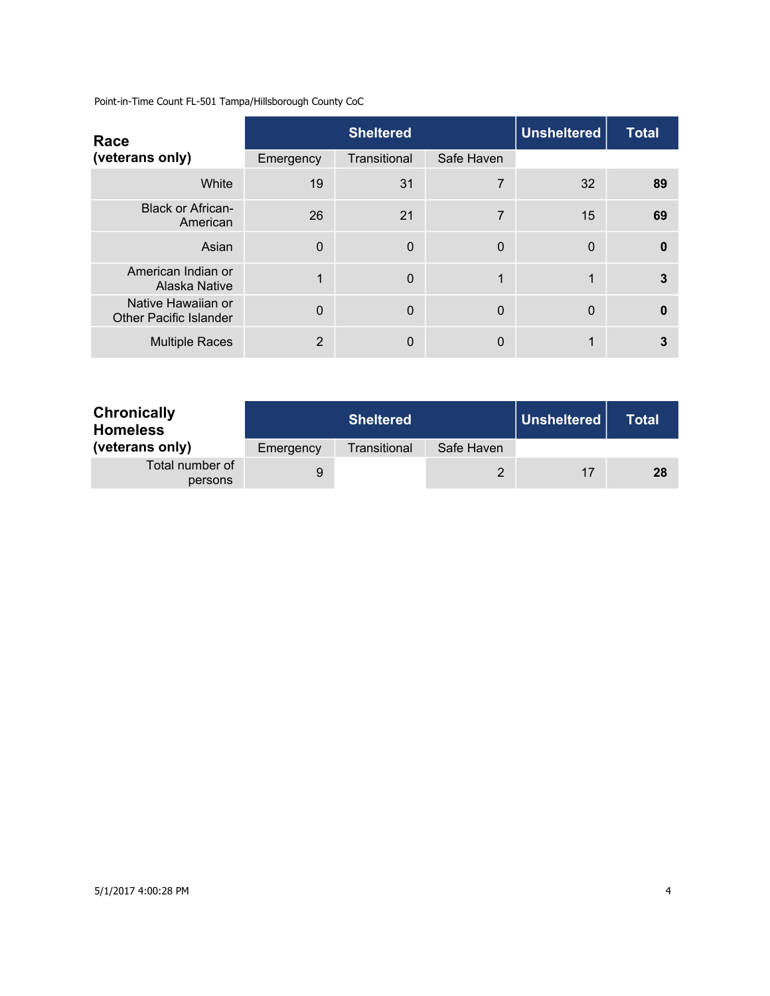| Race                                                |                | <b>Sheltered</b> |             |          | <b>Total</b> |
|-----------------------------------------------------|----------------|------------------|-------------|----------|--------------|
| (veterans only)                                     | Emergency      | Transitional     | Safe Haven  |          |              |
| White                                               | 19             | 31               | 7           | 32       | 89           |
| <b>Black or African-</b><br>American                | 26             | 21               | 7           | 15       | 69           |
| Asian                                               | $\mathbf{0}$   | $\Omega$         | $\mathbf 0$ | $\Omega$ | $\mathbf{0}$ |
| American Indian or<br>Alaska Native                 | $\mathbf{1}$   | $\mathbf 0$      | 1           | 1        | 3            |
| Native Hawaiian or<br><b>Other Pacific Islander</b> | $\mathbf{0}$   | $\Omega$         | 0           | $\Omega$ | 0            |
| <b>Multiple Races</b>                               | $\overline{2}$ | 0                | 0           | 1        | 3            |

| <b>Chronically</b><br><b>Homeless</b> | <b>Sheltered</b> |              |            | Unsheltered | Total |
|---------------------------------------|------------------|--------------|------------|-------------|-------|
| (veterans only)                       | Emergency        | Transitional | Safe Haven |             |       |
| Total number of<br>persons            | 9                |              |            | 17          | 28    |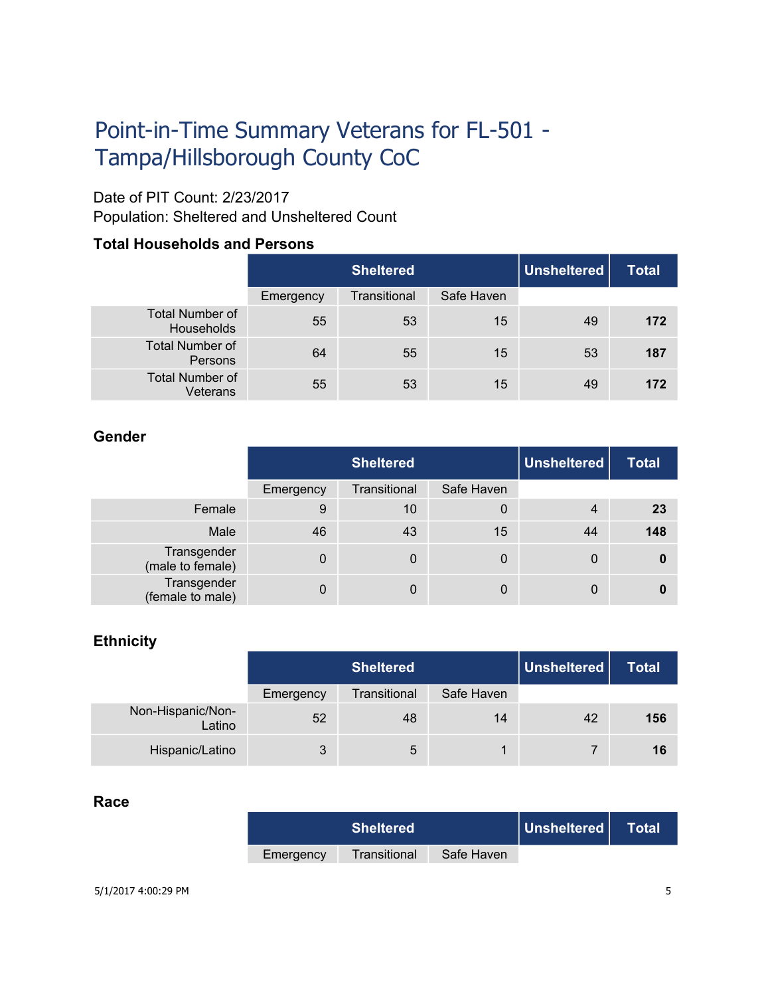# Point-in-Time Summary Veterans for FL-501 - Tampa/Hillsborough County CoC

### Date of PIT Count: 2/23/2017

Population: Sheltered and Unsheltered Count

### **Total Households and Persons**

|                                      | <b>Sheltered</b> |              |            | <b>Unsheltered</b> | <b>Total</b> |
|--------------------------------------|------------------|--------------|------------|--------------------|--------------|
|                                      | Emergency        | Transitional | Safe Haven |                    |              |
| <b>Total Number of</b><br>Households | 55               | 53           | 15         | 49                 | 172          |
| <b>Total Number of</b><br>Persons    | 64               | 55           | 15         | 53                 | 187          |
| <b>Total Number of</b><br>Veterans   | 55               | 53           | 15         | 49                 | 172          |

#### **Gender**

|                                 | <b>Sheltered</b> |              |            | <b>Unsheltered</b> | <b>Total</b> |
|---------------------------------|------------------|--------------|------------|--------------------|--------------|
|                                 | Emergency        | Transitional | Safe Haven |                    |              |
| Female                          | 9                | 10           | 0          | 4                  | 23           |
| Male                            | 46               | 43           | 15         | 44                 | 148          |
| Transgender<br>(male to female) | $\mathbf 0$      | $\mathbf 0$  | 0          | 0                  | 0            |
| Transgender<br>(female to male) | 0                | 0            | 0          | 0                  |              |

## **Ethnicity**

|                             | <b>Sheltered</b> |              |            | $\mid$ Unsheltered $\mid$ | <b>Total</b> |
|-----------------------------|------------------|--------------|------------|---------------------------|--------------|
|                             | Emergency        | Transitional | Safe Haven |                           |              |
| Non-Hispanic/Non-<br>Latino | 52               | 48           | 14         | 42                        | 156          |
| Hispanic/Latino             | 3                | 5            |            |                           | 16           |

#### **Race**

|           | <b>Sheltered</b> |            | Unsheltered | <b>Total</b> |
|-----------|------------------|------------|-------------|--------------|
| Emergency | Transitional     | Safe Haven |             |              |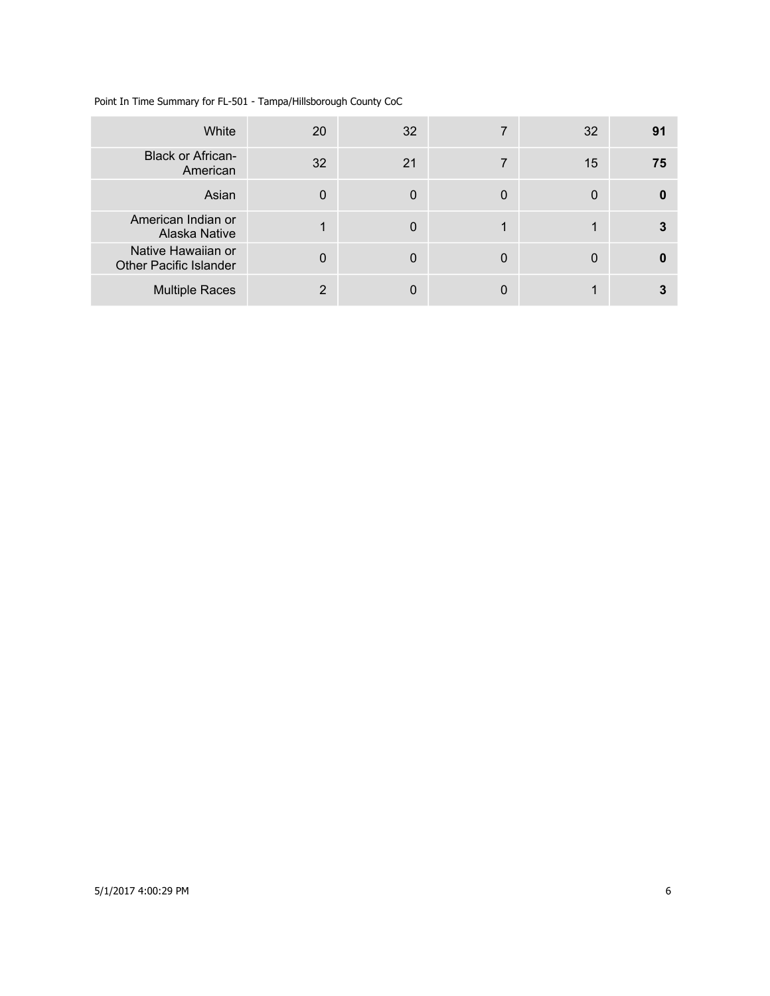| White                                               | <b>20</b>      | 32       |   | 32 | 91 |
|-----------------------------------------------------|----------------|----------|---|----|----|
| <b>Black or African-</b><br>American                | 32             | 21       | 7 | 15 | 75 |
| Asian                                               | 0              | $\Omega$ | 0 | 0  |    |
| American Indian or<br>Alaska Native                 |                | 0        |   |    |    |
| Native Hawaiian or<br><b>Other Pacific Islander</b> | 0              | $\Omega$ | 0 |    |    |
| <b>Multiple Races</b>                               | $\overline{2}$ | 0        | 0 |    |    |

Point In Time Summary for FL-501 - Tampa/Hillsborough County CoC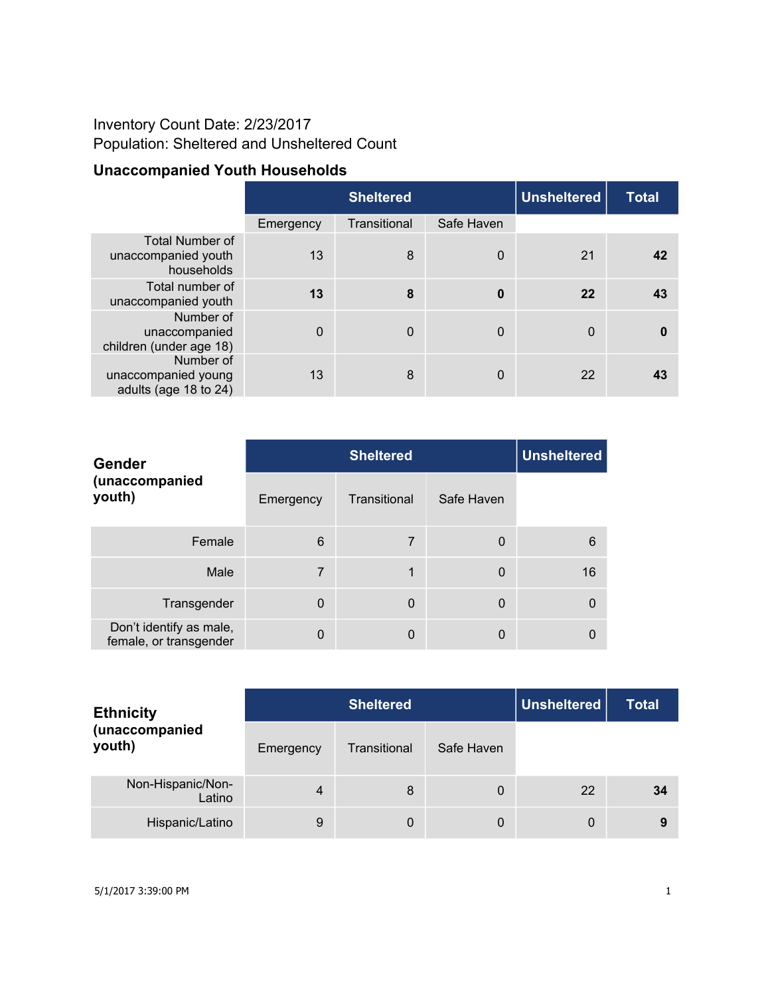# **Unaccompanied Youth Households**

|                                                             | <b>Sheltered</b> |              |             | <b>Unsheltered</b> | <b>Total</b> |
|-------------------------------------------------------------|------------------|--------------|-------------|--------------------|--------------|
|                                                             | Emergency        | Transitional | Safe Haven  |                    |              |
| <b>Total Number of</b><br>unaccompanied youth<br>households | 13               | 8            | $\mathbf 0$ | 21                 | 42           |
| Total number of<br>unaccompanied youth                      | 13               | 8            | $\bf{0}$    | 22                 | 43           |
| Number of<br>unaccompanied<br>children (under age 18)       | $\mathbf{0}$     | $\mathbf 0$  | $\Omega$    | $\mathbf 0$        | 0            |
| Number of<br>unaccompanied young<br>adults (age 18 to 24)   | 13               | 8            | $\Omega$    | 22                 | 43           |

| <b>Gender</b>                                     |           | <b>Unsheltered</b> |              |    |
|---------------------------------------------------|-----------|--------------------|--------------|----|
| (unaccompanied<br>youth)                          | Emergency | Transitional       | Safe Haven   |    |
| Female                                            | 6         | $\overline{7}$     | $\Omega$     | 6  |
| Male                                              | 7         | 1                  | $\Omega$     | 16 |
| Transgender                                       | 0         | $\mathbf 0$        | $\mathbf{0}$ |    |
| Don't identify as male,<br>female, or transgender | 0         | $\mathbf 0$        | $\Omega$     |    |

| <b>Ethnicity</b>            |                | <b>Sheltered</b> |            | Unsheltered | <b>Total</b> |
|-----------------------------|----------------|------------------|------------|-------------|--------------|
| (unaccompanied<br>youth)    | Emergency      | Transitional     | Safe Haven |             |              |
| Non-Hispanic/Non-<br>Latino | $\overline{4}$ | 8                | 0          | 22          | 34           |
| Hispanic/Latino             | 9              | 0                | 0          | 0           | 9            |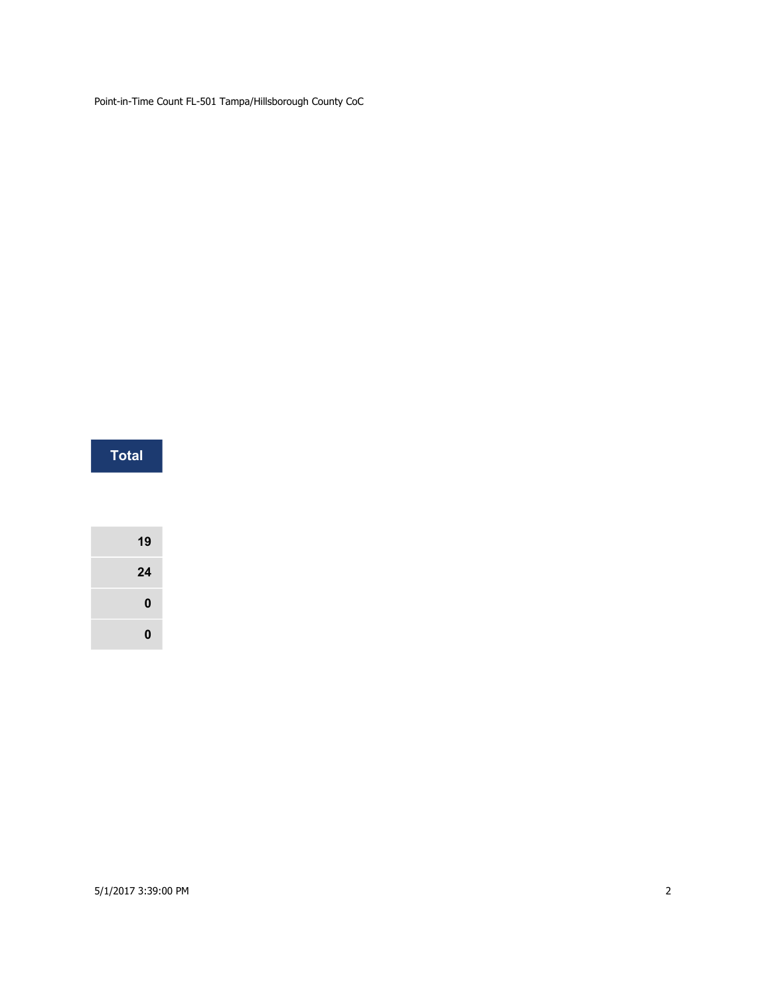| <b>Total</b> |  |  |
|--------------|--|--|
|              |  |  |
|              |  |  |
| 19           |  |  |
| 24           |  |  |
| 0            |  |  |
|              |  |  |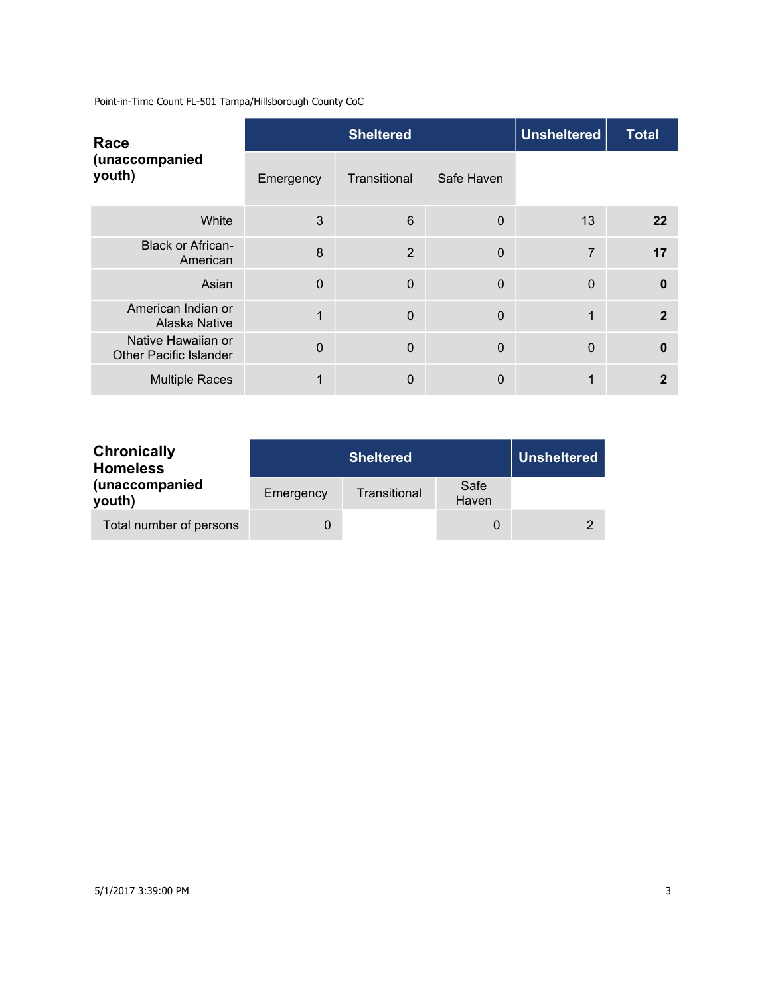| Race                                                |              | <b>Sheltered</b> |              | <b>Unsheltered</b> | <b>Total</b> |
|-----------------------------------------------------|--------------|------------------|--------------|--------------------|--------------|
| (unaccompanied<br>youth)                            | Emergency    | Transitional     | Safe Haven   |                    |              |
| White                                               | 3            | 6                | $\mathbf 0$  | 13                 | 22           |
| <b>Black or African-</b><br>American                | 8            | 2                | $\mathbf 0$  | $\overline{7}$     | 17           |
| Asian                                               | $\mathbf{0}$ | $\mathbf 0$      | $\mathbf 0$  | $\mathbf{0}$       | $\mathbf{0}$ |
| American Indian or<br>Alaska Native                 | 1            | $\overline{0}$   | $\mathbf{0}$ | 1                  | $\mathbf{2}$ |
| Native Hawaiian or<br><b>Other Pacific Islander</b> | $\Omega$     | $\overline{0}$   | $\mathbf 0$  | $\mathbf{0}$       | $\mathbf{0}$ |
| <b>Multiple Races</b>                               |              | 0                | 0            | 1                  |              |

| <b>Chronically</b><br><b>Homeless</b> |           | <b>Unsheltered</b> |               |  |
|---------------------------------------|-----------|--------------------|---------------|--|
| (unaccompanied<br>youth)              | Emergency | Transitional       | Safe<br>Haven |  |
| Total number of persons               | 0         |                    |               |  |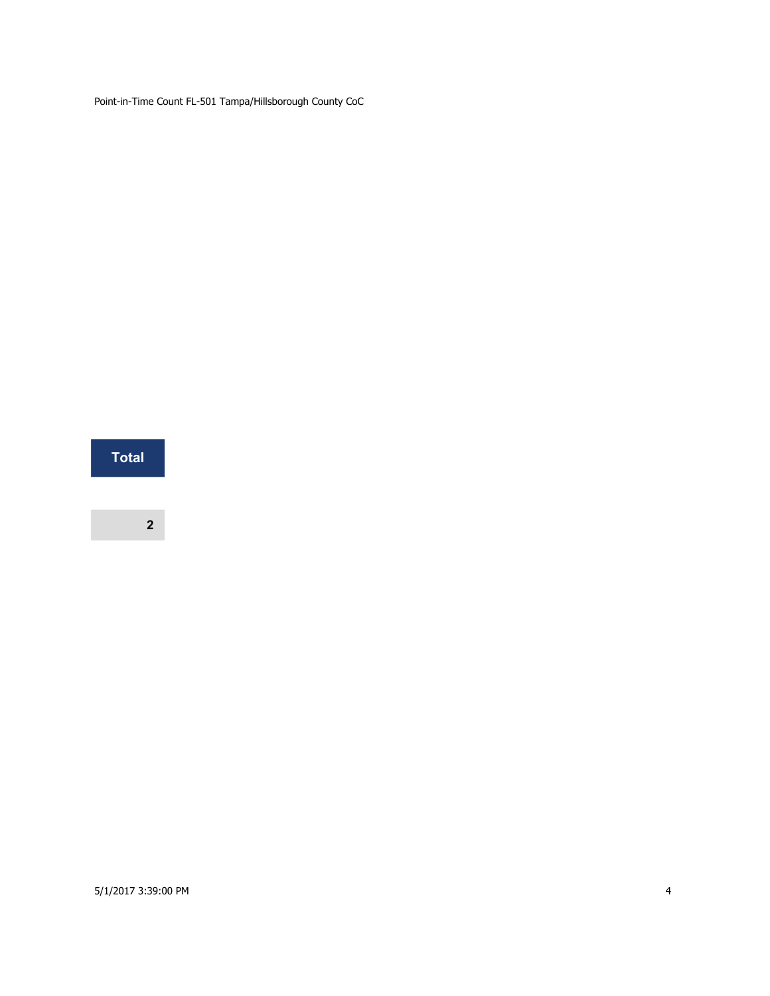**Total**

**2**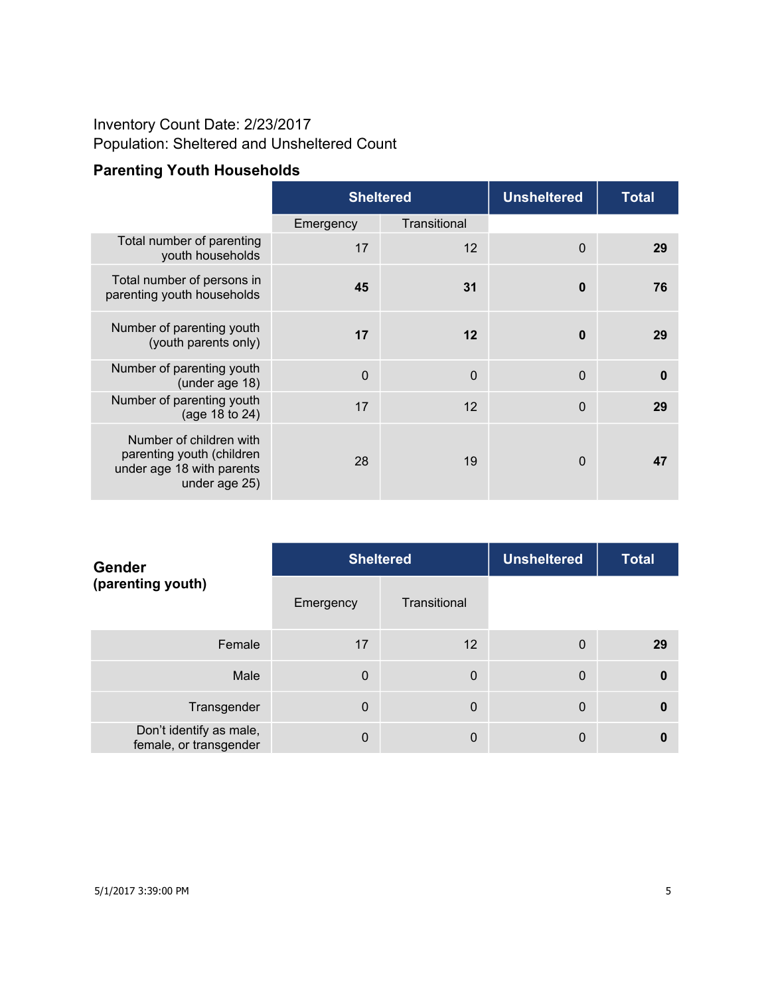# **Parenting Youth Households**

|                                                                                                    | <b>Sheltered</b> |              | <b>Unsheltered</b> | <b>Total</b> |
|----------------------------------------------------------------------------------------------------|------------------|--------------|--------------------|--------------|
|                                                                                                    | Emergency        | Transitional |                    |              |
| Total number of parenting<br>youth households                                                      | 17               | 12           | 0                  | 29           |
| Total number of persons in<br>parenting youth households                                           | 45               | 31           | $\bf{0}$           | 76           |
| Number of parenting youth<br>(youth parents only)                                                  | 17               | 12           | $\boldsymbol{0}$   | 29           |
| Number of parenting youth<br>(under age 18)                                                        | $\mathbf 0$      | $\mathbf 0$  | $\mathbf 0$        | $\bf{0}$     |
| Number of parenting youth<br>(age 18 to 24)                                                        | 17               | 12           | $\overline{0}$     | 29           |
| Number of children with<br>parenting youth (children<br>under age 18 with parents<br>under age 25) | 28               | 19           | $\mathbf 0$        | 47           |

| <b>Gender</b>                                     |             | <b>Sheltered</b> | <b>Unsheltered</b> | <b>Total</b> |
|---------------------------------------------------|-------------|------------------|--------------------|--------------|
| (parenting youth)                                 | Emergency   | Transitional     |                    |              |
| Female                                            | 17          | 12               | $\mathbf 0$        | 29           |
| Male                                              | $\mathbf 0$ | $\mathbf 0$      | $\mathbf 0$        | $\bf{0}$     |
| Transgender                                       | $\Omega$    | $\mathbf 0$      | $\mathbf 0$        | $\bf{0}$     |
| Don't identify as male,<br>female, or transgender | $\mathbf 0$ | $\mathbf 0$      | 0                  |              |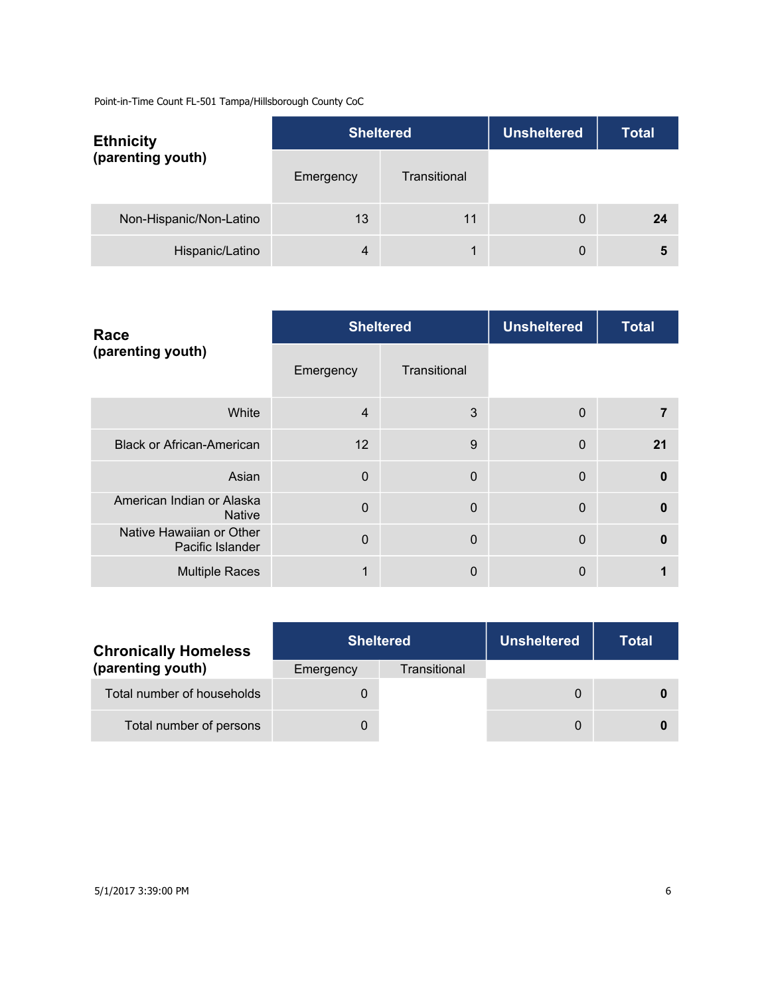| <b>Ethnicity</b>        |           | <b>Sheltered</b> | <b>Unsheltered</b> | <b>Total</b> |
|-------------------------|-----------|------------------|--------------------|--------------|
| (parenting youth)       | Emergency | Transitional     |                    |              |
| Non-Hispanic/Non-Latino | 13        | 11               | 0                  | 24           |
| Hispanic/Latino         | 4         |                  | 0                  | 5            |

| Race                                         | <b>Sheltered</b> |                | <b>Unsheltered</b> | <b>Total</b> |
|----------------------------------------------|------------------|----------------|--------------------|--------------|
| (parenting youth)                            | Emergency        | Transitional   |                    |              |
| White                                        | $\overline{4}$   | 3              | $\mathbf 0$        | 7            |
| <b>Black or African-American</b>             | 12               | 9              | $\mathbf 0$        | 21           |
| Asian                                        | $\Omega$         | $\overline{0}$ | $\overline{0}$     | $\bf{0}$     |
| American Indian or Alaska<br><b>Native</b>   | $\Omega$         | $\overline{0}$ | $\mathbf 0$        | 0            |
| Native Hawaiian or Other<br>Pacific Islander | $\Omega$         | $\mathbf 0$    | $\mathbf 0$        | 0            |
| <b>Multiple Races</b>                        |                  | $\mathbf 0$    | $\mathbf 0$        |              |

| <b>Chronically Homeless</b> |           | <b>Sheltered</b> | <b>Unsheltered</b> | Total |
|-----------------------------|-----------|------------------|--------------------|-------|
| (parenting youth)           | Emergency | Transitional     |                    |       |
| Total number of households  |           |                  | 0                  |       |
| Total number of persons     |           |                  | 0                  |       |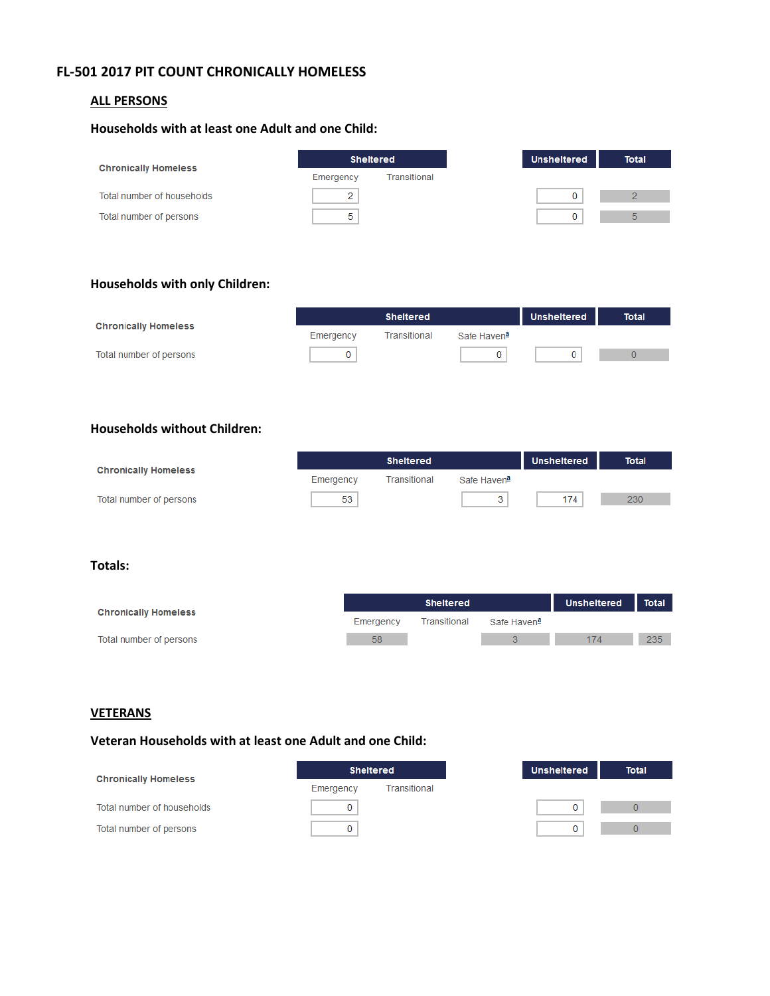#### **FL-501 2017 PIT COUNT CHRONICALLY HOMELESS**

#### **ALL PERSONS**

#### **Households with at least one Adult and one Child:**

| <b>Chronically Homeless</b> |           | <b>Sheltered</b> |
|-----------------------------|-----------|------------------|
|                             | Emergency | Transitional     |
| Total number of households  |           |                  |
| Total number of persons     |           |                  |

#### **Households with only Children:**

| <b>Chronically Homeless</b> | <b>Sheltered</b> |              |                         | Unsheltered | <b>Total</b> |
|-----------------------------|------------------|--------------|-------------------------|-------------|--------------|
|                             | Emergency        | Transitional | Safe Haven <sup>a</sup> |             |              |
| Total number of persons     |                  |              |                         |             |              |

#### **Households without Children:**

|                             | <b>Sheltered</b> |              |                         | Unsheltered | <b>Total</b> |
|-----------------------------|------------------|--------------|-------------------------|-------------|--------------|
| <b>Chronically Homeless</b> | Emergency        | Transitional | Safe Haven <sup>a</sup> |             |              |
| Total number of persons     | 53               |              |                         | 174         | 230          |

#### **Totals:**

|                             |           | <b>Sheltered</b> | <b>Unsheltered</b>      | Total |     |
|-----------------------------|-----------|------------------|-------------------------|-------|-----|
| <b>Chronically Homeless</b> | Emergency | Transitional     | Safe Haven <sup>a</sup> |       |     |
| Total number of persons     | 58        |                  |                         | 174.  | 235 |

#### **VETERANS**

#### **Veteran Households with at least one Adult and one Child:**

| <b>Chronically Homeless</b> | <b>Sheltered</b> |              | <b>Unsheltered</b> |  |
|-----------------------------|------------------|--------------|--------------------|--|
|                             | Emergency        | Transitional |                    |  |
| Total number of households  |                  |              |                    |  |
| Total number of persons     |                  |              |                    |  |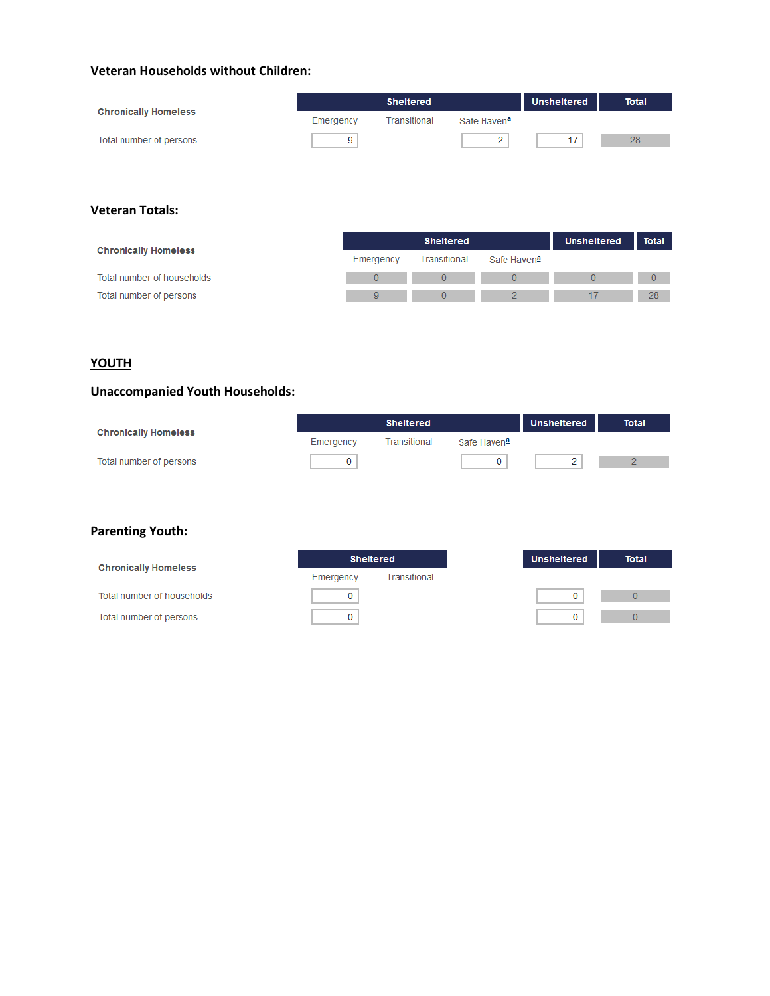#### **Veteran Households without Children:**

| <b>Chronically Homeless</b> |           | <b>Sheltered</b> | <b>Unsheltered</b>      | <b>Total</b> |    |
|-----------------------------|-----------|------------------|-------------------------|--------------|----|
|                             | Emergency | Transitional     | Safe Haven <sup>a</sup> |              |    |
| Total number of persons     |           |                  | o<br>۷                  | 17           | 28 |

#### **Veteran Totals:**

|                             |           | <b>Sheltered</b> | <b>Unsheltered</b>      | <b>Total</b> |    |
|-----------------------------|-----------|------------------|-------------------------|--------------|----|
| <b>Chronically Homeless</b> | Emergency | Transitional     | Safe Haven <sup>a</sup> |              |    |
| Total number of households  |           |                  |                         |              |    |
| Total number of persons     | 9         |                  |                         |              | 28 |

#### **YOUTH**

#### **Unaccompanied Youth Households:**

| <b>Chronically Homeless</b> |           | <b>Sheltered</b> | <b>Unsheltered</b>      | <b>Total</b> |                 |
|-----------------------------|-----------|------------------|-------------------------|--------------|-----------------|
|                             | Emergency | Transitional     | Safe Haven <sup>a</sup> |              |                 |
| Total number of persons     |           |                  |                         | ے            | $\sqrt{2}$<br>- |

#### **Parenting Youth:**

|                             |           | <b>Sheltered</b> |  |  |
|-----------------------------|-----------|------------------|--|--|
| <b>Chronically Homeless</b> | Emergency | Transitional     |  |  |
| Total number of households  |           |                  |  |  |
| Total number of persons     |           |                  |  |  |
|                             |           |                  |  |  |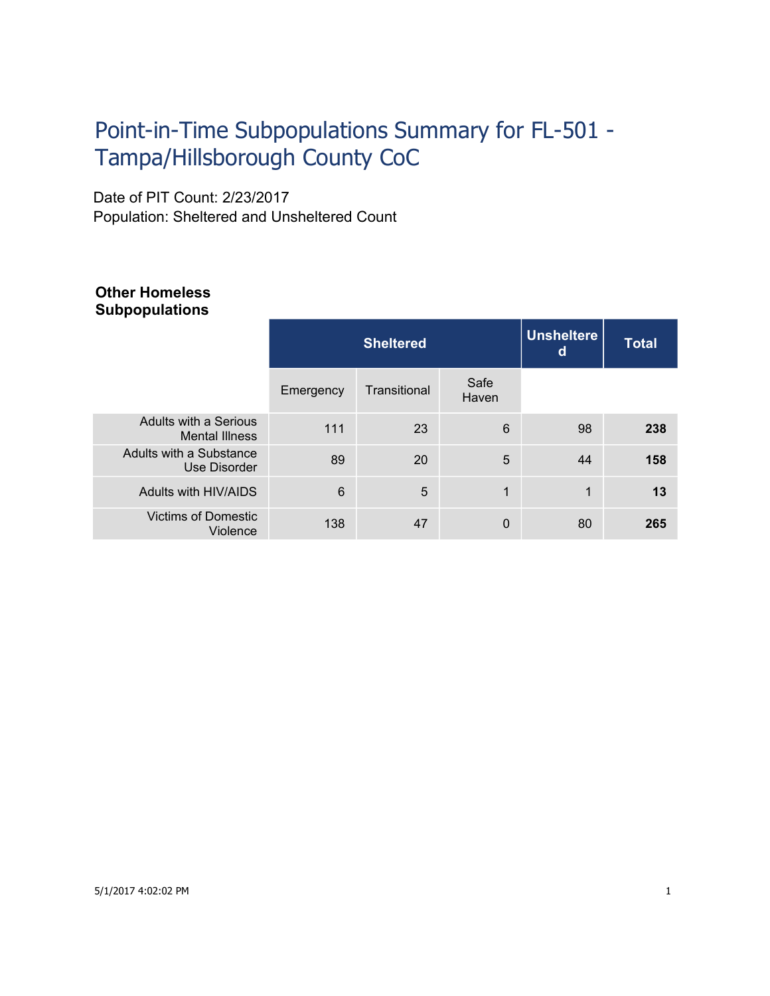# Point-in-Time Subpopulations Summary for FL-501 - Tampa/Hillsborough County CoC

Date of PIT Count: 2/23/2017

Population: Sheltered and Unsheltered Count

#### **Other Homeless Subpopulations**

|                                         |           | <b>Sheltered</b> | <b>Unsheltere</b><br>d | <b>Total</b> |     |
|-----------------------------------------|-----------|------------------|------------------------|--------------|-----|
|                                         | Emergency | Transitional     | Safe<br>Haven          |              |     |
| Adults with a Serious<br>Mental Illness | 111       | 23               | 6                      | 98           | 238 |
| Adults with a Substance<br>Use Disorder | 89        | 20               | 5                      | 44           | 158 |
| Adults with HIV/AIDS                    | 6         | 5                | 1                      | 1            | 13  |
| <b>Victims of Domestic</b><br>Violence  | 138       | 47               | $\mathbf 0$            | 80           | 265 |